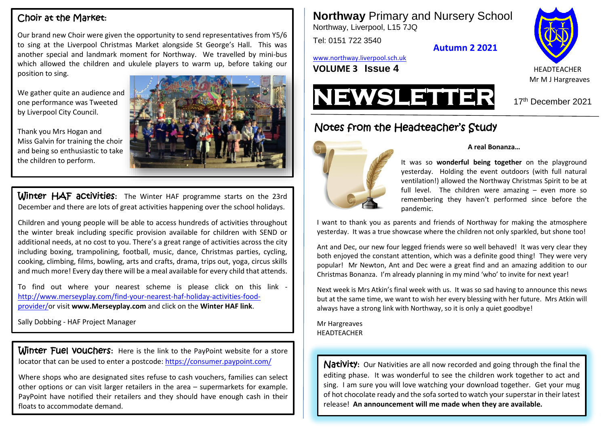### Choir at the Market**:**

Our brand new Choir were given the opportunity to send representatives from Y5/6 to sing at the Liverpool Christmas Market alongside St George's Hall. This was another special and landmark moment for Northway. We travelled by mini-bus which allowed the children and ukulele players to warm up, before taking our position to sing.

We gather quite an audience and one performance was Tweeted by Liverpool City Council.

Thank you Mrs Hogan and Miss Galvin for training the choir and being so enthusiastic to take the children to perform.



Children and young people will be able to access hundreds of activities throughout<br>the winter heads including apositionary islam available for abildren with SEND and the winter break including specific provision available for children with SEND or additional needs, at no cost to you. There's a great range of activities across the city including boxing, trampolining, football, music, dance, Christmas parties, cycling, cooking, climbing, films, bowling, arts and crafts, drama, trips out, yoga, circus skills and much more! Every day there will be a meal available for every child that attends.

To find out where your nearest scheme is please click on this link [http://www.merseyplay.com/find-your-nearest-haf-holiday-activities-food](http://www.merseyplay.com/find-your-nearest-haf-holiday-activities-food-provider/)[provider/o](http://www.merseyplay.com/find-your-nearest-haf-holiday-activities-food-provider/)r visit **www.Merseyplay.com** and click on the **Winter HAF link**.

Sally Dobbing - HAF Project Manager

Winter Fuel Vouchers: Here is the link to the PayPoint website for a store locator that can be used to enter a postcode: <https://consumer.paypoint.com/>

Where shops who are designated sites refuse to cash vouchers, families can select other options or can visit larger retailers in the area – supermarkets for example. PayPoint have notified their retailers and they should have enough cash in their floats to accommodate demand.

**Northway** Primary and Nursery School Northway, Liverpool, L15 7JQ

Tel: 0151 722 3540

**Autumn 2 2021**

[www.northway.liverpool.sch.uk](http://www.northway.liverpool.sch.uk/)

**VOLUME 3 ISSUE 4 HEADTEACHER** 





17th December 2021

Notes from the Headteacher's Study



#### **A real Bonanza…**

It was so **wonderful being together** on the playground yesterday. Holding the event outdoors (with full natural ventilation!) allowed the Northway Christmas Spirit to be at full level. The children were amazing – even more so remembering they haven't performed since before the pandemic.

I want to thank you as parents and friends of Northway for making the atmosphere yesterday. It was a true showcase where the children not only sparkled, but shone too!

Ant and Dec, our new four legged friends were so well behaved! It was very clear they both enjoyed the constant attention, which was a definite good thing! They were very popular! Mr Newton, Ant and Dec were a great find and an amazing addition to our Christmas Bonanza. I'm already planning in my mind 'who' to invite for next year!

Next week is Mrs Atkin's final week with us. It was so sad having to announce this news but at the same time, we want to wish her every blessing with her future. Mrs Atkin will always have a strong link with Northway, so it is only a quiet goodbye!

Mr Hargreaves HEADTEACHER

> Nativity: Our Nativities are all now recorded and going through the final the editing phase. It was wonderful to see the children work together to act and sing. I am sure you will love watching your download together. Get your mug of hot chocolate ready and the sofa sorted to watch your superstar in their latest release! **An announcement will me made when they are available.**